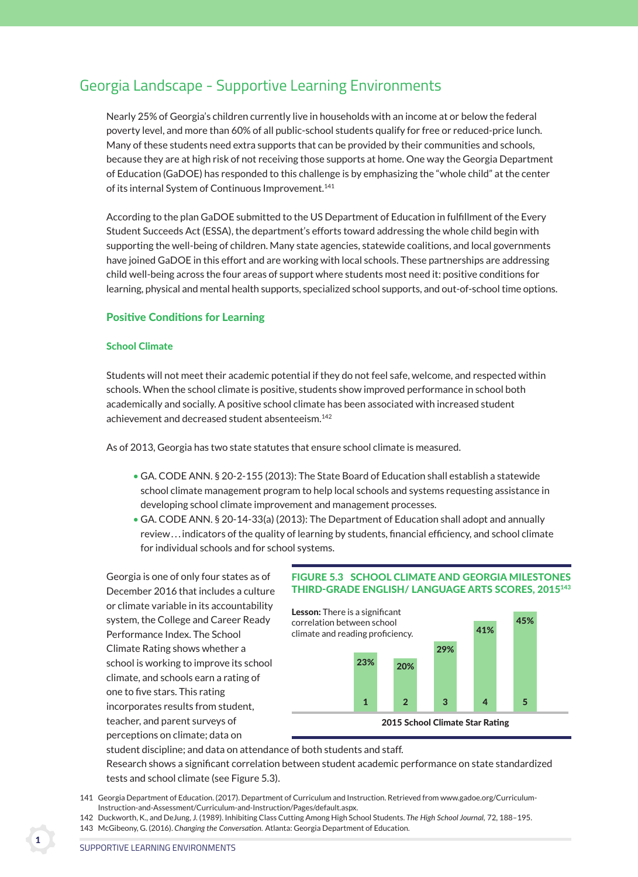# Georgia Landscape - Supportive Learning Environments

 Nearly 25% of Georgia's children currently live in households with an income at or below the federal poverty level, and more than 60% of all public-school students qualify for free or reduced-price lunch. Many of these students need extra supports that can be provided by their communities and schools, because they are at high risk of not receiving those supports at home. One way the Georgia Department of Education (GaDOE) has responded to this challenge is by emphasizing the "whole child" at the center of its internal System of Continuous Improvement.<sup>141</sup>

 According to the plan GaDOE submitted to the US Department of Education in fulfillment of the Every Student Succeeds Act (ESSA), the department's efforts toward addressing the whole child begin with supporting the well-being of children. Many state agencies, statewide coalitions, and local governments have joined GaDOE in this effort and are working with local schools. These partnerships are addressing child well-being across the four areas of support where students most need it: positive conditions for learning, physical and mental health supports, specialized school supports, and out-of-school time options.

### **Positive Conditions for Learning**

### **School Climate**

 Students will not meet their academic potential if they do not feel safe, welcome, and respected within schools. When the school climate is positive, students show improved performance in school both academically and socially. A positive school climate has been associated with increased student achievement and decreased student absenteeism.142

As of 2013, Georgia has two state statutes that ensure school climate is measured.

- GA. CODE ANN. § 20-2-155 (2013): The State Board of Education shall establish a statewide school climate management program to help local schools and systems requesting assistance in developing school climate improvement and management processes.
- GA. CODE ANN. § 20-14-33(a) (2013): The Department of Education shall adopt and annually review . . . indicators of the quality of learning by students, financial efficiency, and school climate for individual schools and for school systems.

 Georgia is one of only four states as of December 2016 that includes a culture or climate variable in its accountability system, the College and Career Ready Performance Index. The School Climate Rating shows whether a school is working to improve its school climate, and schools earn a rating of one to five stars. This rating incorporates results from student, teacher, and parent surveys of perceptions on climate; data on

### Figure 5.3 scHool cliMaTe and georgia MilesTones THird-grade englisH/ language arTs scores, 2015143



student discipline; and data on attendance of both students and staff.

 Research shows a significant correlation between student academic performance on state standardized tests and school climate (see Figure 5.3).

141 Georgia Department of Education. (2017). Department of Curriculum and Instruction. Retrieved from www.gadoe.org/Curriculum-Instruction-and-Assessment/Curriculum-and-Instruction/Pages/default.aspx.

<sup>142</sup> Duckworth, K., and DeJung, J. (1989). Inhibiting Class Cutting Among High School Students. *The High School Journal,* 72, 188–195. 143 McGibeony, G. (2016). *Changing the Conversation.* Atlanta: Georgia Department of Education.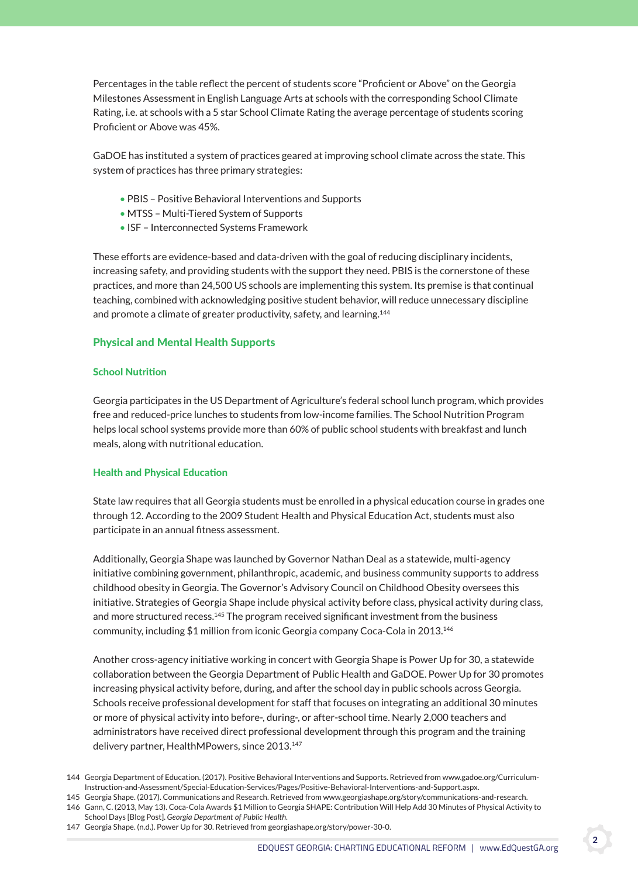Percentages in the table reflect the percent of students score "Proficient or Above" on the Georgia Milestones Assessment in English Language Arts at schools with the corresponding School Climate Rating, i.e. at schools with a 5 star School Climate Rating the average percentage of students scoring Proficient or Above was 45%.

 GaDOE has instituted a system of practices geared at improving school climate across the state. This system of practices has three primary strategies:

- PBIS Positive Behavioral Interventions and Supports
- MTSS Multi-Tiered System of Supports
- ISF Interconnected Systems Framework

 These efforts are evidence-based and data-driven with the goal of reducing disciplinary incidents, increasing safety, and providing students with the support they need. PBIS is the cornerstone of these practices, and more than 24,500 US schools are implementing this system. Its premise is that continual teaching, combined with acknowledging positive student behavior, will reduce unnecessary discipline and promote a climate of greater productivity, safety, and learning.<sup>144</sup>

## **Physical and Mental Health Supports**

### **School Nutrition**

 Georgia participates in the US Department of Agriculture's federal school lunch program, which provides free and reduced-price lunches to students from low-income families. The School Nutrition Program helps local school systems provide more than 60% of public school students with breakfast and lunch meals, along with nutritional education.

### **Health and Physical Education**

 State law requires that all Georgia students must be enrolled in a physical education course in grades one through 12. According to the 2009 Student Health and Physical Education Act, students must also participate in an annual fitness assessment.

 Additionally, Georgia Shape was launched by Governor Nathan Deal as a statewide, multi-agency initiative combining government, philanthropic, academic, and business community supports to address childhood obesity in Georgia. The Governor's Advisory Council on Childhood Obesity oversees this initiative. Strategies of Georgia Shape include physical activity before class, physical activity during class, and more structured recess.<sup>145</sup> The program received significant investment from the business community, including \$1 million from iconic Georgia company Coca-Cola in 2013.146

 Another cross-agency initiative working in concert with Georgia Shape is Power Up for 30, a statewide collaboration between the Georgia Department of Public Health and GaDOE. Power Up for 30 promotes increasing physical activity before, during, and after the school day in public schools across Georgia. Schools receive professional development for staff that focuses on integrating an additional 30 minutes or more of physical activity into before-, during-, or after-school time. Nearly 2,000 teachers and administrators have received direct professional development through this program and the training delivery partner, HealthMPowers, since 2013.<sup>147</sup>

<sup>144</sup> Georgia Department of Education. (2017). Positive Behavioral Interventions and Supports. Retrieved from www.gadoe.org/Curriculum-Instruction-and-Assessment/Special-Education-Services/Pages/Positive-Behavioral-Interventions-and-Support.aspx.

<sup>145</sup> Georgia Shape. (2017). Communications and Research. Retrieved from www.georgiashape.org/story/communications-and-research. 146 Gann, C. (2013, May 13). Coca-Cola Awards \$1 Million to Georgia SHAPE: Contribution Will Help Add 30 Minutes of Physical Activity to School Days [Blog Post]. *Georgia Department of Public Health.* 

<sup>147</sup> Georgia Shape. (n.d.). Power Up for 30. Retrieved from georgiashape.org/story/power-30-0.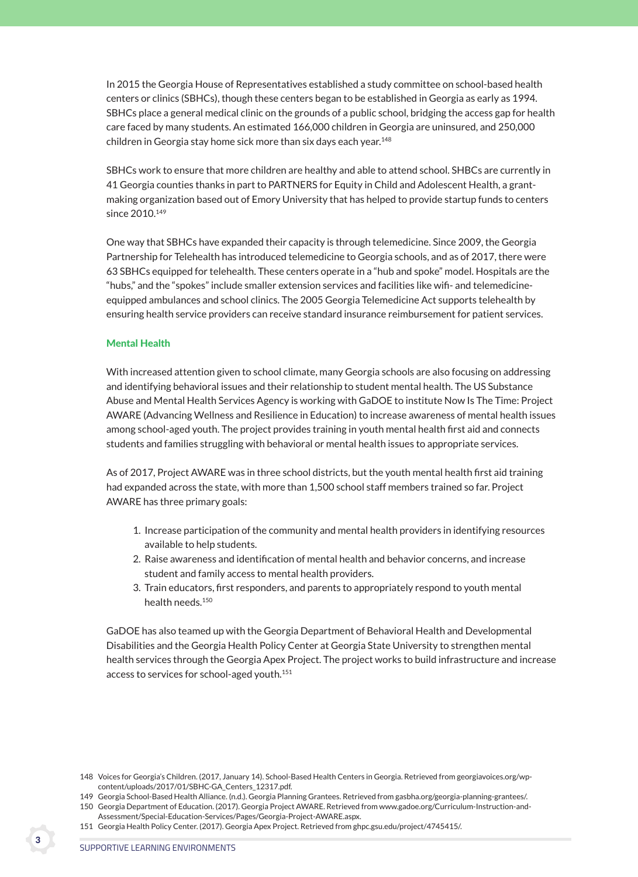In 2015 the Georgia House of Representatives established a study committee on school-based health centers or clinics (SBHCs), though these centers began to be established in Georgia as early as 1994. SBHCs place a general medical clinic on the grounds of a public school, bridging the access gap for health care faced by many students. An estimated 166,000 children in Georgia are uninsured, and 250,000 children in Georgia stay home sick more than six days each year.<sup>148</sup>

 SBHCs work to ensure that more children are healthy and able to attend school. SHBCs are currently in 41 Georgia counties thanks in part to PARTNERS for Equity in Child and Adolescent Health, a grantmaking organization based out of Emory University that has helped to provide startup funds to centers since 2010.<sup>149</sup>

 One way that SBHCs have expanded their capacity is through telemedicine. Since 2009, the Georgia Partnership for Telehealth has introduced telemedicine to Georgia schools, and as of 2017, there were 63 SBHCs equipped for telehealth. These centers operate in a "hub and spoke" model. Hospitals are the "hubs," and the "spokes" include smaller extension services and facilities like wifi- and telemedicineequipped ambulances and school clinics. The 2005 Georgia Telemedicine Act supports telehealth by ensuring health service providers can receive standard insurance reimbursement for patient services.

### Mental Health

 With increased attention given to school climate, many Georgia schools are also focusing on addressing and identifying behavioral issues and their relationship to student mental health. The US Substance Abuse and Mental Health Services Agency is working with GaDOE to institute Now Is The Time: Project AWARE (Advancing Wellness and Resilience in Education) to increase awareness of mental health issues among school-aged youth. The project provides training in youth mental health first aid and connects students and families struggling with behavioral or mental health issues to appropriate services.

 As of 2017, Project AWARE was in three school districts, but the youth mental health first aid training had expanded across the state, with more than 1,500 school staff members trained so far. Project AWARE has three primary goals:

- 1. Increase participation of the community and mental health providers in identifying resources available to help students.
- 2. Raise awareness and identification of mental health and behavior concerns, and increase student and family access to mental health providers.
- 3. Train educators, first responders, and parents to appropriately respond to youth mental health needs.<sup>150</sup>

 GaDOE has also teamed up with the Georgia Department of Behavioral Health and Developmental Disabilities and the Georgia Health Policy Center at Georgia State University to strengthen mental health services through the Georgia Apex Project. The project works to build infrastructure and increase access to services for school-aged youth.<sup>151</sup>

<sup>148</sup> Voices for Georgia's Children. (2017, January 14). School-Based Health Centers in Georgia. Retrieved from georgiavoices.org/wpcontent/uploads/2017/01/SBHC-GA\_Centers\_12317.pdf.

<sup>149</sup> Georgia School-Based Health Alliance. (n.d.). Georgia Planning Grantees. Retrieved from gasbha.org/georgia-planning-grantees/. 150 Georgia Department of Education. (2017). Georgia Project AWARE. Retrieved from www.gadoe.org/Curriculum-Instruction-and-Assessment/Special-Education-Services/Pages/Georgia-Project-AWARE.aspx.

<sup>151</sup> Georgia Health Policy Center. (2017). Georgia Apex Project. Retrieved from ghpc.gsu.edu/project/4745415/.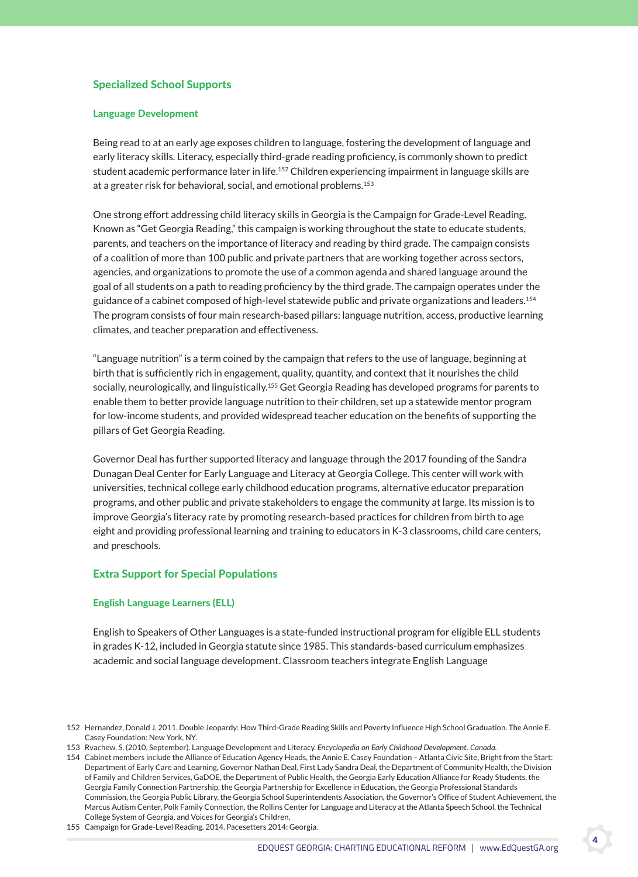# specialized school supports

#### **Language Development**

 Being read to at an early age exposes children to language, fostering the development of language and early literacy skills. Literacy, especially third-grade reading proficiency, is commonly shown to predict student academic performance later in life.<sup>152</sup> Children experiencing impairment in language skills are at a greater risk for behavioral, social, and emotional problems.<sup>153</sup>

 One strong effort addressing child literacy skills in Georgia is the Campaign for Grade-Level Reading. Known as "Get Georgia Reading," this campaign is working throughout the state to educate students, parents, and teachers on the importance of literacy and reading by third grade. The campaign consists of a coalition of more than 100 public and private partners that are working together across sectors, agencies, and organizations to promote the use of a common agenda and shared language around the goal of all students on a path to reading proficiency by the third grade. The campaign operates under the guidance of a cabinet composed of high-level statewide public and private organizations and leaders.<sup>154</sup> The program consists of four main research-based pillars: language nutrition, access, productive learning climates, and teacher preparation and effectiveness.

 "Language nutrition" is a term coined by the campaign that refers to the use of language, beginning at birth that is sufficiently rich in engagement, quality, quantity, and context that it nourishes the child socially, neurologically, and linguistically.<sup>155</sup> Get Georgia Reading has developed programs for parents to enable them to better provide language nutrition to their children, set up a statewide mentor program for low-income students, and provided widespread teacher education on the benefits of supporting the pillars of Get Georgia Reading.

 Governor Deal has further supported literacy and language through the 2017 founding of the Sandra Dunagan Deal Center for Early Language and Literacy at Georgia College. This center will work with universities, technical college early childhood education programs, alternative educator preparation programs, and other public and private stakeholders to engage the community at large. Its mission is to improve Georgia's literacy rate by promoting research-based practices for children from birth to age eight and providing professional learning and training to educators in K-3 classrooms, child care centers, and preschools.

### **Extra Support for Special Populations**

#### **English Language Learners (ELL)**

 English to Speakers of Other Languages is a state-funded instructional program for eligible ELL students in grades K-12, included in Georgia statute since 1985. This standards-based curriculum emphasizes academic and social language development. Classroom teachers integrate English Language

155 Campaign for Grade-Level Reading. 2014. Pacesetters 2014: Georgia.

4

<sup>152</sup> Hernandez, Donald J. 2011. Double Jeopardy: How Third-Grade Reading Skills and Poverty Influence High School Graduation. The Annie E. Casey Foundation: New York, NY.

<sup>153</sup> Rvachew, S. (2010, September). Language Development and Literacy. *Encyclopedia on Early Childhood Development. Canada.*

<sup>154</sup> Cabinet members include the Alliance of Education Agency Heads, the Annie E. Casey Foundation – Atlanta Civic Site, Bright from the Start: Department of Early Care and Learning, Governor Nathan Deal, First Lady Sandra Deal, the Department of Community Health, the Division of Family and Children Services, GaDOE, the Department of Public Health, the Georgia Early Education Alliance for Ready Students, the Georgia Family Connection Partnership, the Georgia Partnership for Excellence in Education, the Georgia Professional Standards Commission, the Georgia Public Library, the Georgia School Superintendents Association, the Governor's Office of Student Achievement, the Marcus Autism Center, Polk Family Connection, the Rollins Center for Language and Literacy at the Atlanta Speech School, the Technical College System of Georgia, and Voices for Georgia's Children.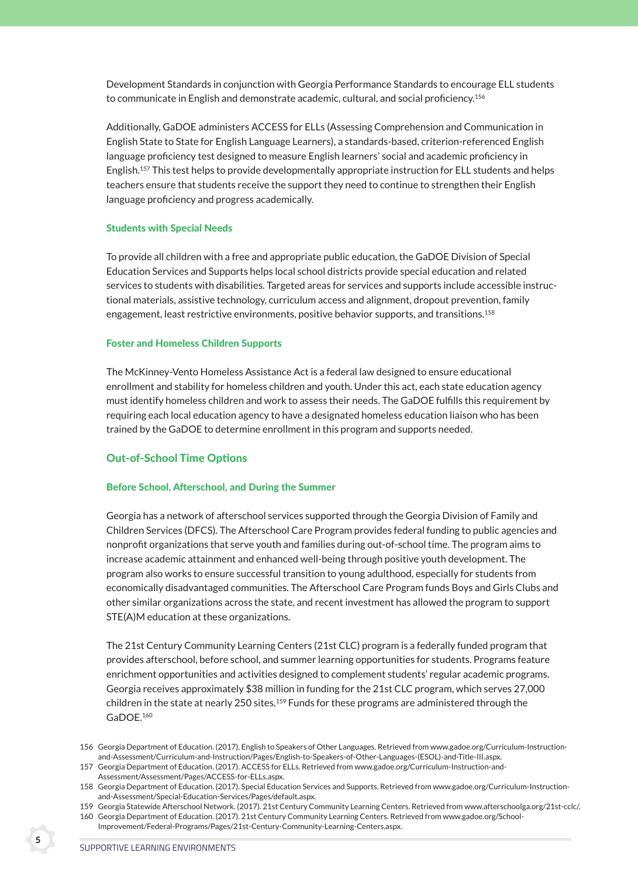Development Standards in conjunction with Georgia Performance Standards to encourage ELL students to communicate in English and demonstrate academic, cultural, and social proficiency.156

Additionally, GaDOE administers ACCESS for ELLs (Assessing Comprehension and Communication in English State to State for English Language Learners), a standards-based, criterion-referenced English language proficiency test designed to measure English learners' social and academic proficiency in English.157 This test helps to provide developmentally appropriate instruction for ELL students and helps teachers ensure that students receive the support they need to continue to strengthen their English language proficiency and progress academically.

### **Students with Special Needs**

 To provide all children with a free and appropriate public education, the GaDOE Division of Special Education Services and Supports helps local school districts provide special education and related services to students with disabilities. Targeted areas for services and supports include accessible instructional materials, assistive technology, curriculum access and alignment, dropout prevention, family engagement, least restrictive environments, positive behavior supports, and transitions.<sup>158</sup>

### Foster and Homeless children supports

 The McKinney-Vento Homeless Assistance Act is a federal law designed to ensure educational enrollment and stability for homeless children and youth. Under this act, each state education agency must identify homeless children and work to assess their needs. The GaDOE fulfills this requirement by requiring each local education agency to have a designated homeless education liaison who has been trained by the GaDOE to determine enrollment in this program and supports needed.

### **Out-of-School Time Options**

### Before School, Afterschool, and During the Summer

 Georgia has a network of afterschool services supported through the Georgia Division of Family and Children Services (DFCS). The Afterschool Care Program provides federal funding to public agencies and nonprofit organizations that serve youth and families during out-of-school time. The program aims to increase academic attainment and enhanced well-being through positive youth development. The program also works to ensure successful transition to young adulthood, especially for students from economically disadvantaged communities. The Afterschool Care Program funds Boys and Girls Clubs and other similar organizations across the state, and recent investment has allowed the program to support STE(A)M education at these organizations.

 The 21st Century Community Learning Centers (21st CLC) program is a federally funded program that provides afterschool, before school, and summer learning opportunities for students. Programs feature enrichment opportunities and activities designed to complement students' regular academic programs. Georgia receives approximately \$38 million in funding for the 21st CLC program, which serves 27,000 children in the state at nearly 250 sites.<sup>159</sup> Funds for these programs are administered through the GaDOE.<sup>160</sup>

<sup>156</sup> Georgia Department of Education. (2017). English to Speakers of Other Languages. Retrieved from www.gadoe.org/Curriculum-Instructionand-Assessment/Curriculum-and-Instruction/Pages/English-to-Speakers-of-Other-Languages-(ESOL)-and-Title-III.aspx.

<sup>157</sup> Georgia Department of Education. (2017). ACCESS for ELLs. Retrieved from www.gadoe.org/Curriculum-Instruction-and-Assessment/Assessment/Pages/ACCESS-for-ELLs.aspx.

<sup>158</sup> Georgia Department of Education. (2017). Special Education Services and Supports. Retrieved from www.gadoe.org/Curriculum-Instructionand-Assessment/Special-Education-Services/Pages/default.aspx.

<sup>159</sup> Georgia Statewide Afterschool Network. (2017). 21st Century Community Learning Centers. Retrieved from www.afterschoolga.org/21st-cclc/.

<sup>160</sup> Georgia Department of Education. (2017). 21st Century Community Learning Centers. Retrieved from www.gadoe.org/School-Improvement/Federal-Programs/Pages/21st-Century-Community-Learning-Centers.aspx.